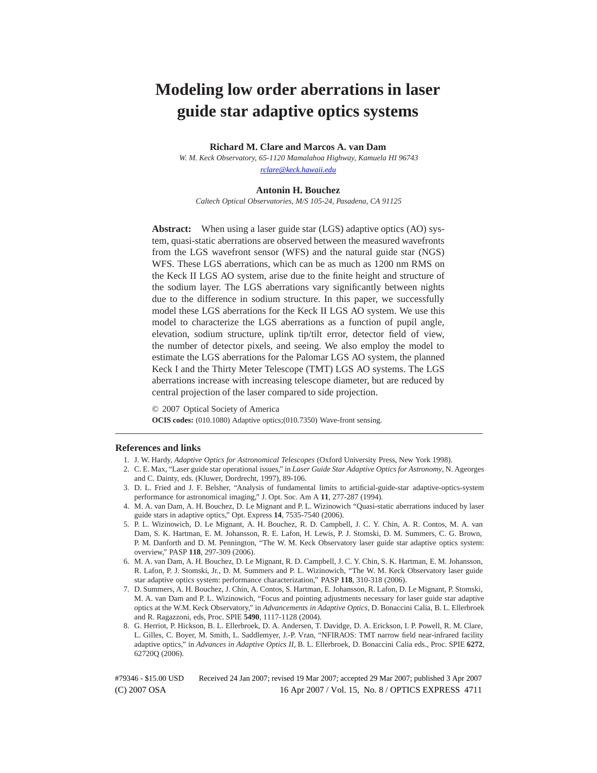# **Modeling low order aberrations in laser guide star adaptive optics systems**

**Richard M. Clare and Marcos A. van Dam**

*W. M. Keck Observatory, 65-1120 Mamalahoa Highway, Kamuela HI 96743 rclare@keck.hawaii.edu*

#### **Antonin H. Bouchez**

*Caltech Optical Observatories, M/S 105-24, Pasadena, CA 91125*

**Abstract:** When using a laser guide star (LGS) adaptive optics (AO) system, quasi-static aberrations are observed between the measured wavefronts from the LGS wavefront sensor (WFS) and the natural guide star (NGS) WFS. These LGS aberrations, which can be as much as 1200 nm RMS on the Keck II LGS AO system, arise due to the finite height and structure of the sodium layer. The LGS aberrations vary significantly between nights due to the difference in sodium structure. In this paper, we successfully model these LGS aberrations for the Keck II LGS AO system. We use this model to characterize the LGS aberrations as a function of pupil angle, elevation, sodium structure, uplink tip/tilt error, detector field of view, the number of detector pixels, and seeing. We also employ the model to estimate the LGS aberrations for the Palomar LGS AO system, the planned Keck I and the Thirty Meter Telescope (TMT) LGS AO systems. The LGS aberrations increase with increasing telescope diameter, but are reduced by central projection of the laser compared to side projection.

© 2007 Optical Society of America **OCIS codes:** (010.1080) Adaptive optics;(010.7350) Wave-front sensing.

#### **References and links**

- 1. J. W. Hardy, *Adaptive Optics for Astronomical Telescopes* (Oxford University Press, New York 1998).
- 2. C. E. Max, "Laser guide star operational issues," in *Laser Guide Star Adaptive Optics for Astronomy*, N. Ageorges and C. Dainty, eds. (Kluwer, Dordrecht, 1997), 89-106.
- 3. D. L. Fried and J. F. Belsher, "Analysis of fundamental limits to artificial-guide-star adaptive-optics-system performance for astronomical imaging," J. Opt. Soc. Am A **11**, 277-287 (1994).
- 4. M. A. van Dam, A. H. Bouchez, D. Le Mignant and P. L. Wizinowich "Quasi-static aberrations induced by laser guide stars in adaptive optics," Opt. Express **14**, 7535-7540 (2006).
- 5. P. L. Wizinowich, D. Le Mignant, A. H. Bouchez, R. D. Campbell, J. C. Y. Chin, A. R. Contos, M. A. van Dam, S. K. Hartman, E. M. Johansson, R. E. Lafon, H. Lewis, P. J. Stomski, D. M. Summers, C. G. Brown, P. M. Danforth and D. M. Pennington, "The W. M. Keck Observatory laser guide star adaptive optics system: overview," PASP **118**, 297-309 (2006).
- 6. M. A. van Dam, A. H. Bouchez, D. Le Mignant, R. D. Campbell, J. C. Y. Chin, S. K. Hartman, E. M. Johansson, R. Lafon, P. J. Stomski, Jr., D. M. Summers and P. L. Wizinowich, "The W. M. Keck Observatory laser guide star adaptive optics system: performance characterization," PASP **118**, 310-318 (2006).
- 7. D. Summers, A. H. Bouchez, J. Chin, A. Contos, S. Hartman, E. Johansson, R. Lafon, D. Le Mignant, P. Stomski, M. A. van Dam and P. L. Wizinowich, "Focus and pointing adjustments necessary for laser guide star adaptive optics at the W.M. Keck Observatory," in *Advancements in Adaptive Optics*, D. Bonaccini Calia, B. L. Ellerbroek and R. Ragazzoni, eds, Proc. SPIE **5490**, 1117-1128 (2004).
- 8. G. Herriot, P. Hickson, B. L. Ellerbroek, D. A. Andersen, T. Davidge, D. A. Erickson, I. P. Powell, R. M. Clare, L. Gilles, C. Boyer, M. Smith, L. Saddlemyer, J.-P. Vran, "NFIRAOS: TMT narrow field near-infrared facility adaptive optics," in *Advances in Adaptive Optics II*, B. L. Ellerbroek, D. Bonaccini Calia eds., Proc. SPIE **6272**, 62720Q (2006).

(C) 2007 OSA 16 Apr 2007 / Vol. 15, No. 8 / OPTICS EXPRESS 4711 #79346 - \$15.00 USD Received 24 Jan 2007; revised 19 Mar 2007; accepted 29 Mar 2007; published 3 Apr 2007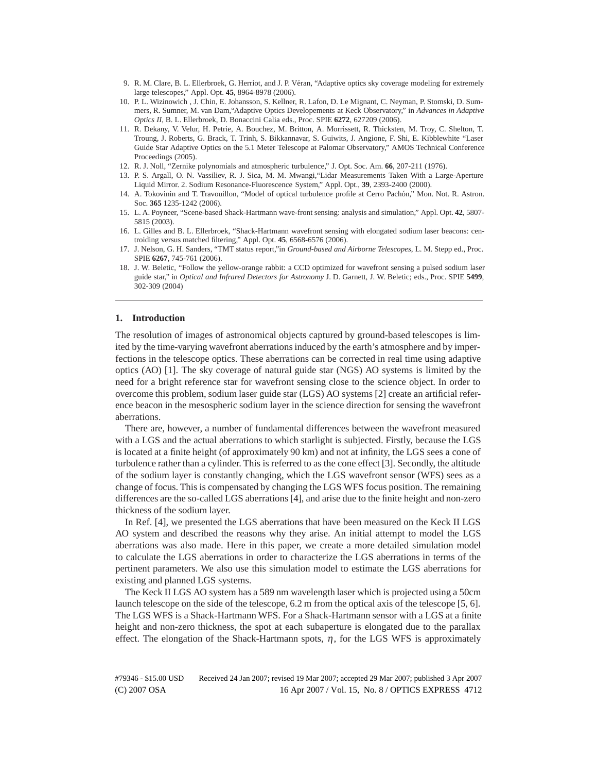- 9. R. M. Clare, B. L. Ellerbroek, G. Herriot, and J. P. Véran, "Adaptive optics sky coverage modeling for extremely large telescopes," Appl. Opt. **45**, 8964-8978 (2006).
- 10. P. L. Wizinowich , J. Chin, E. Johansson, S. Kellner, R. Lafon, D. Le Mignant, C. Neyman, P. Stomski, D. Summers, R. Sumner, M. van Dam,"Adaptive Optics Developements at Keck Observatory," in *Advances in Adaptive Optics II*, B. L. Ellerbroek, D. Bonaccini Calia eds., Proc. SPIE **6272**, 627209 (2006).
- 11. R. Dekany, V. Velur, H. Petrie, A. Bouchez, M. Britton, A. Morrissett, R. Thicksten, M. Troy, C. Shelton, T. Troung, J. Roberts, G. Brack, T. Trinh, S. Bikkannavar, S. Guiwits, J. Angione, F. Shi, E. Kibblewhite "Laser Guide Star Adaptive Optics on the 5.1 Meter Telescope at Palomar Observatory," AMOS Technical Conference Proceedings (2005).
- 12. R. J. Noll, "Zernike polynomials and atmospheric turbulence," J. Opt. Soc. Am. **66**, 207-211 (1976).
- 13. P. S. Argall, O. N. Vassiliev, R. J. Sica, M. M. Mwangi,"Lidar Measurements Taken With a Large-Aperture Liquid Mirror. 2. Sodium Resonance-Fluorescence System," Appl. Opt., **39**, 2393-2400 (2000).
- 14. A. Tokovinin and T. Travouillon, "Model of optical turbulence profile at Cerro Pach´on," Mon. Not. R. Astron. Soc. **365** 1235-1242 (2006).
- 15. L. A. Poyneer, "Scene-based Shack-Hartmann wave-front sensing: analysis and simulation," Appl. Opt. **42**, 5807- 5815 (2003).
- 16. L. Gilles and B. L. Ellerbroek, "Shack-Hartmann wavefront sensing with elongated sodium laser beacons: centroiding versus matched filtering," Appl. Opt. **45**, 6568-6576 (2006).
- 17. J. Nelson, G. H. Sanders, "TMT status report,"in *Ground-based and Airborne Telescopes*, L. M. Stepp ed., Proc. SPIE **6267**, 745-761 (2006).
- 18. J. W. Beletic, "Follow the yellow-orange rabbit: a CCD optimized for wavefront sensing a pulsed sodium laser guide star," in *Optical and Infrared Detectors for Astronomy* J. D. Garnett, J. W. Beletic; eds., Proc. SPIE **5499**, 302-309 (2004)

## **1. Introduction**

The resolution of images of astronomical objects captured by ground-based telescopes is limited by the time-varying wavefront aberrations induced by the earth's atmosphere and by imperfections in the telescope optics. These aberrations can be corrected in real time using adaptive optics (AO) [1]. The sky coverage of natural guide star (NGS) AO systems is limited by the need for a bright reference star for wavefront sensing close to the science object. In order to overcome this problem, sodium laser guide star (LGS) AO systems [2] create an artificial reference beacon in the mesospheric sodium layer in the science direction for sensing the wavefront aberrations.

There are, however, a number of fundamental differences between the wavefront measured with a LGS and the actual aberrations to which starlight is subjected. Firstly, because the LGS is located at a finite height (of approximately 90 km) and not at infinity, the LGS sees a cone of turbulence rather than a cylinder. This is referred to as the cone effect [3]. Secondly, the altitude of the sodium layer is constantly changing, which the LGS wavefront sensor (WFS) sees as a change of focus. This is compensated by changing the LGS WFS focus position. The remaining differences are the so-called LGS aberrations [4], and arise due to the finite height and non-zero thickness of the sodium layer.

In Ref. [4], we presented the LGS aberrations that have been measured on the Keck II LGS AO system and described the reasons why they arise. An initial attempt to model the LGS aberrations was also made. Here in this paper, we create a more detailed simulation model to calculate the LGS aberrations in order to characterize the LGS aberrations in terms of the pertinent parameters. We also use this simulation model to estimate the LGS aberrations for existing and planned LGS systems.

The Keck II LGS AO system has a 589 nm wavelength laser which is projected using a 50cm launch telescope on the side of the telescope, 6.2 m from the optical axis of the telescope [5, 6]. The LGS WFS is a Shack-Hartmann WFS. For a Shack-Hartmann sensor with a LGS at a finite height and non-zero thickness, the spot at each subaperture is elongated due to the parallax effect. The elongation of the Shack-Hartmann spots,  $\eta$ , for the LGS WFS is approximately

(C) 2007 OSA 16 Apr 2007 / Vol. 15, No. 8 / OPTICS EXPRESS 4712 #79346 - \$15.00 USD Received 24 Jan 2007; revised 19 Mar 2007; accepted 29 Mar 2007; published 3 Apr 2007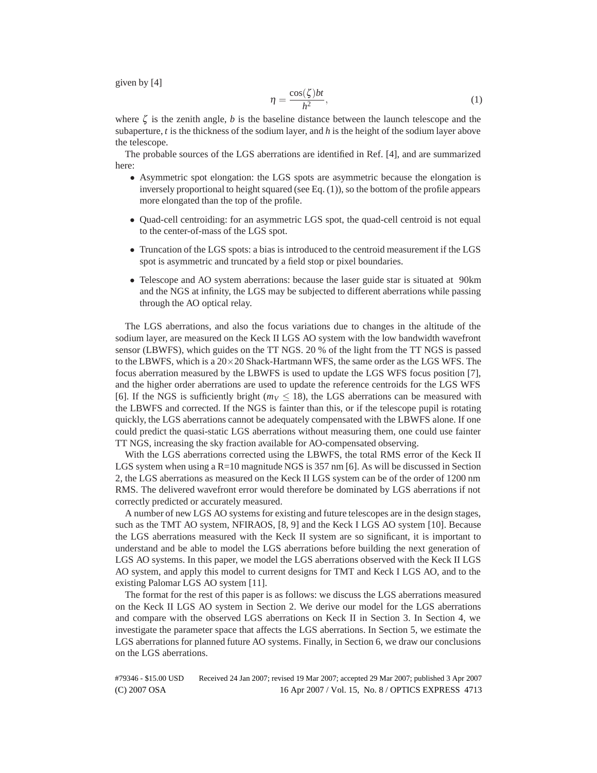given by [4]

$$
\eta = \frac{\cos(\zeta)bt}{h^2},\tag{1}
$$

where  $\zeta$  is the zenith angle, *b* is the baseline distance between the launch telescope and the subaperture, *t* is the thickness of the sodium layer, and *h* is the height of the sodium layer above the telescope.

The probable sources of the LGS aberrations are identified in Ref. [4], and are summarized here:

- Asymmetric spot elongation: the LGS spots are asymmetric because the elongation is inversely proportional to height squared (see Eq. (1)), so the bottom of the profile appears more elongated than the top of the profile.
- Quad-cell centroiding: for an asymmetric LGS spot, the quad-cell centroid is not equal to the center-of-mass of the LGS spot.
- Truncation of the LGS spots: a bias is introduced to the centroid measurement if the LGS spot is asymmetric and truncated by a field stop or pixel boundaries.
- Telescope and AO system aberrations: because the laser guide star is situated at 90 km and the NGS at infinity, the LGS may be subjected to different aberrations while passing through the AO optical relay.

The LGS aberrations, and also the focus variations due to changes in the altitude of the sodium layer, are measured on the Keck II LGS AO system with the low bandwidth wavefront sensor (LBWFS), which guides on the TT NGS. 20 % of the light from the TT NGS is passed to the LBWFS, which is a  $20 \times 20$  Shack-Hartmann WFS, the same order as the LGS WFS. The focus aberration measured by the LBWFS is used to update the LGS WFS focus position [7], and the higher order aberrations are used to update the reference centroids for the LGS WFS [6]. If the NGS is sufficiently bright  $(m_V < 18)$ , the LGS aberrations can be measured with the LBWFS and corrected. If the NGS is fainter than this, or if the telescope pupil is rotating quickly, the LGS aberrations cannot be adequately compensated with the LBWFS alone. If one could predict the quasi-static LGS aberrations without measuring them, one could use fainter TT NGS, increasing the sky fraction available for AO-compensated observing.

With the LGS aberrations corrected using the LBWFS, the total RMS error of the Keck II LGS system when using a  $R=10$  magnitude NGS is 357 nm [6]. As will be discussed in Section 2, the LGS aberrations as measured on the Keck II LGS system can be of the order of 1200 nm RMS. The delivered wavefront error would therefore be dominated by LGS aberrations if not correctly predicted or accurately measured.

A number of new LGS AO systems for existing and future telescopes are in the design stages, such as the TMT AO system, NFIRAOS, [8, 9] and the Keck I LGS AO system [10]. Because the LGS aberrations measured with the Keck II system are so significant, it is important to understand and be able to model the LGS aberrations before building the next generation of LGS AO systems. In this paper, we model the LGS aberrations observed with the Keck II LGS AO system, and apply this model to current designs for TMT and Keck I LGS AO, and to the existing Palomar LGS AO system [11].

The format for the rest of this paper is as follows: we discuss the LGS aberrations measured on the Keck II LGS AO system in Section 2. We derive our model for the LGS aberrations and compare with the observed LGS aberrations on Keck II in Section 3. In Section 4, we investigate the parameter space that affects the LGS aberrations. In Section 5, we estimate the LGS aberrations for planned future AO systems. Finally, in Section 6, we draw our conclusions on the LGS aberrations.

(C) 2007 OSA 16 Apr 2007 / Vol. 15, No. 8 / OPTICS EXPRESS 4713 #79346 - \$15.00 USD Received 24 Jan 2007; revised 19 Mar 2007; accepted 29 Mar 2007; published 3 Apr 2007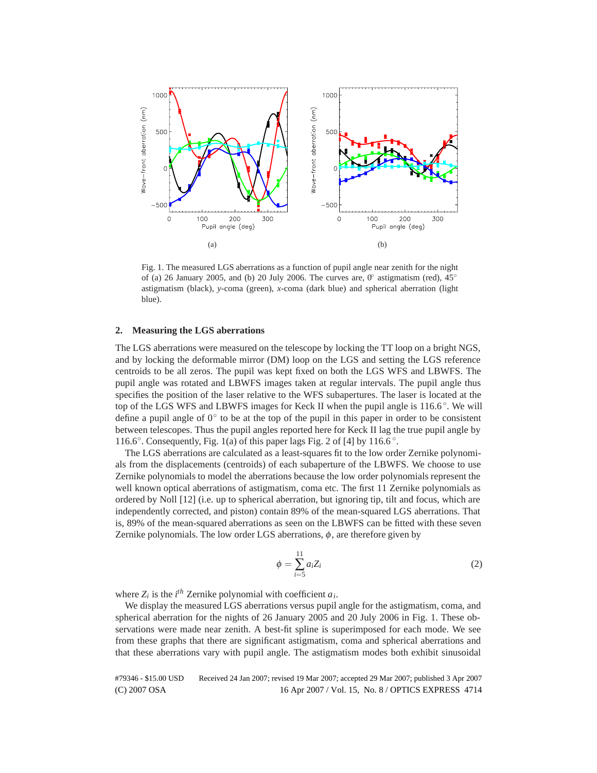

Fig. 1. The measured LGS aberrations as a function of pupil angle near zenith for the night of (a) 26 January 2005, and (b) 20 July 2006. The curves are,  $0°$  astigmatism (red),  $45°$ astigmatism (black), *y*-coma (green), *x*-coma (dark blue) and spherical aberration (light blue).

# **2. Measuring the LGS aberrations**

The LGS aberrations were measured on the telescope by locking the TT loop on a bright NGS, and by locking the deformable mirror (DM) loop on the LGS and setting the LGS reference centroids to be all zeros. The pupil was kept fixed on both the LGS WFS and LBWFS. The pupil angle was rotated and LBWFS images taken at regular intervals. The pupil angle thus specifies the position of the laser relative to the WFS subapertures. The laser is located at the top of the LGS WFS and LBWFS images for Keck II when the pupil angle is  $116.6^\circ$ . We will define a pupil angle of  $0°$  to be at the top of the pupil in this paper in order to be consistent between telescopes. Thus the pupil angles reported here for Keck II lag the true pupil angle by 116.6 $\degree$ . Consequently, Fig. 1(a) of this paper lags Fig. 2 of [4] by 116.6 $\degree$ .

The LGS aberrations are calculated as a least-squares fit to the low order Zernike polynomials from the displacements (centroids) of each subaperture of the LBWFS. We choose to use Zernike polynomials to model the aberrations because the low order polynomials represent the well known optical aberrations of astigmatism, coma etc. The first 11 Zernike polynomials as ordered by Noll [12] (i.e. up to spherical aberration, but ignoring tip, tilt and focus, which are independently corrected, and piston) contain 89% of the mean-squared LGS aberrations. That is, 89% of the mean-squared aberrations as seen on the LBWFS can be fitted with these seven Zernike polynomials. The low order LGS aberrations,  $\phi$ , are therefore given by

$$
\phi = \sum_{i=5}^{11} a_i Z_i \tag{2}
$$

where  $Z_i$  is the *i*<sup>th</sup> Zernike polynomial with coefficient  $a_i$ .

We display the measured LGS aberrations versus pupil angle for the astigmatism, coma, and spherical aberration for the nights of 26 January 2005 and 20 July 2006 in Fig. 1. These observations were made near zenith. A best-fit spline is superimposed for each mode. We see from these graphs that there are significant astigmatism, coma and spherical aberrations and that these aberrations vary with pupil angle. The astigmatism modes both exhibit sinusoidal

(C) 2007 OSA 16 Apr 2007 / Vol. 15, No. 8 / OPTICS EXPRESS 4714 #79346 - \$15.00 USD Received 24 Jan 2007; revised 19 Mar 2007; accepted 29 Mar 2007; published 3 Apr 2007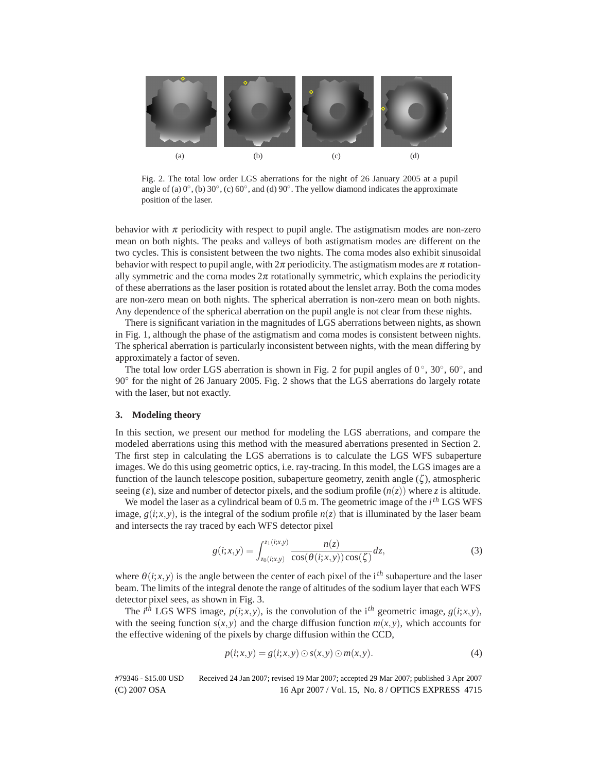

Fig. 2. The total low order LGS aberrations for the night of 26 January 2005 at a pupil angle of (a)  $0^\circ$ , (b)  $30^\circ$ , (c)  $60^\circ$ , and (d)  $90^\circ$ . The yellow diamond indicates the approximate position of the laser.

behavior with  $\pi$  periodicity with respect to pupil angle. The astigmatism modes are non-zero mean on both nights. The peaks and valleys of both astigmatism modes are different on the two cycles. This is consistent between the two nights. The coma modes also exhibit sinusoidal behavior with respect to pupil angle, with  $2\pi$  periodicity. The astigmatism modes are  $\pi$  rotationally symmetric and the coma modes  $2\pi$  rotationally symmetric, which explains the periodicity of these aberrations as the laser position is rotated about the lenslet array. Both the coma modes are non-zero mean on both nights. The spherical aberration is non-zero mean on both nights. Any dependence of the spherical aberration on the pupil angle is not clear from these nights.

There is significant variation in the magnitudes of LGS aberrations between nights, as shown in Fig. 1, although the phase of the astigmatism and coma modes is consistent between nights. The spherical aberration is particularly inconsistent between nights, with the mean differing by approximately a factor of seven.

The total low order LGS aberration is shown in Fig. 2 for pupil angles of  $0^\circ$ ,  $30^\circ$ ,  $60^\circ$ , and 90◦ for the night of 26 January 2005. Fig. 2 shows that the LGS aberrations do largely rotate with the laser, but not exactly.

# **3. Modeling theory**

In this section, we present our method for modeling the LGS aberrations, and compare the modeled aberrations using this method with the measured aberrations presented in Section 2. The first step in calculating the LGS aberrations is to calculate the LGS WFS subaperture images. We do this using geometric optics, i.e. ray-tracing. In this model, the LGS images are a function of the launch telescope position, subaperture geometry, zenith angle  $(\zeta)$ , atmospheric seeing  $(\varepsilon)$ , size and number of detector pixels, and the sodium profile  $(n(z))$  where *z* is altitude.

We model the laser as a cylindrical beam of 0.5 m. The geometric image of the *ith* LGS WFS image,  $g(i; x, y)$ , is the integral of the sodium profile  $n(z)$  that is illuminated by the laser beam and intersects the ray traced by each WFS detector pixel

$$
g(i; x, y) = \int_{z_0(i; x, y)}^{z_1(i; x, y)} \frac{n(z)}{\cos(\theta(i; x, y)) \cos(\zeta)} dz,
$$
 (3)

where  $\theta(i; x, y)$  is the angle between the center of each pixel of the i<sup>th</sup> subaperture and the laser beam. The limits of the integral denote the range of altitudes of the sodium layer that each WFS detector pixel sees, as shown in Fig. 3.

The *i*<sup>th</sup> LGS WFS image,  $p(i; x, y)$ , is the convolution of the i<sup>th</sup> geometric image,  $g(i; x, y)$ , with the seeing function  $s(x, y)$  and the charge diffusion function  $m(x, y)$ , which accounts for the effective widening of the pixels by charge diffusion within the CCD,

$$
p(i;x,y) = g(i;x,y) \odot s(x,y) \odot m(x,y). \tag{4}
$$

(C) 2007 OSA 16 Apr 2007 / Vol. 15, No. 8 / OPTICS EXPRESS 4715 #79346 - \$15.00 USD Received 24 Jan 2007; revised 19 Mar 2007; accepted 29 Mar 2007; published 3 Apr 2007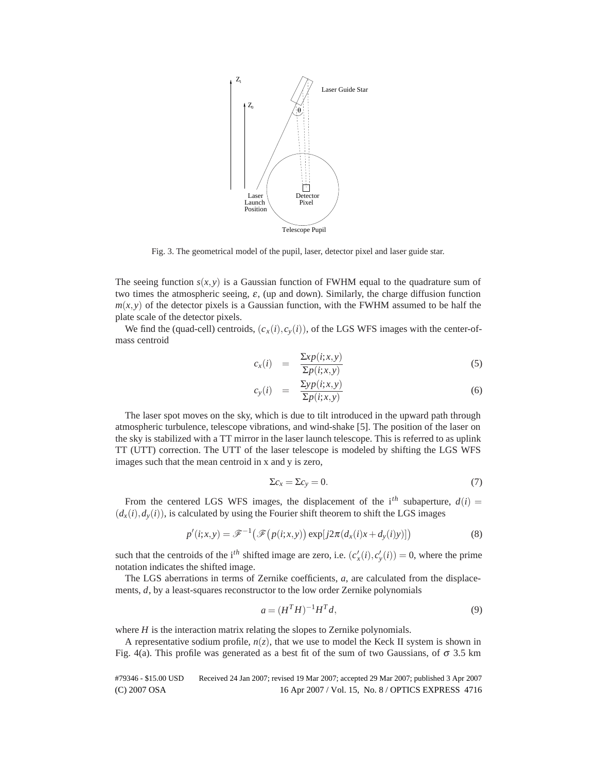

Fig. 3. The geometrical model of the pupil, laser, detector pixel and laser guide star.

The seeing function  $s(x, y)$  is a Gaussian function of FWHM equal to the quadrature sum of two times the atmospheric seeing,  $\varepsilon$ , (up and down). Similarly, the charge diffusion function  $m(x, y)$  of the detector pixels is a Gaussian function, with the FWHM assumed to be half the plate scale of the detector pixels.

We find the (quad-cell) centroids,  $(c_x(i), c_y(i))$ , of the LGS WFS images with the center-ofmass centroid

$$
c_x(i) = \frac{\sum x p(i; x, y)}{\sum p(i; x, y)}
$$
\n(5)

$$
c_{y}(i) = \frac{\sum y p(i; x, y)}{\sum p(i; x, y)}
$$
\n(6)

The laser spot moves on the sky, which is due to tilt introduced in the upward path through atmospheric turbulence, telescope vibrations, and wind-shake [5]. The position of the laser on the sky is stabilized with a TT mirror in the laser launch telescope. This is referred to as uplink TT (UTT) correction. The UTT of the laser telescope is modeled by shifting the LGS WFS images such that the mean centroid in x and y is zero,

$$
\Sigma c_x = \Sigma c_y = 0. \tag{7}
$$

From the centered LGS WFS images, the displacement of the  $i<sup>th</sup>$  subaperture,  $d(i)$  =  $(d_x(i), d_y(i))$ , is calculated by using the Fourier shift theorem to shift the LGS images

$$
p'(i;x,y) = \mathcal{F}^{-1}\big(\mathcal{F}\big(p(i;x,y)\big)\exp[j2\pi(d_x(i)x+d_y(i)y)]\big) \tag{8}
$$

such that the centroids of the i<sup>th</sup> shifted image are zero, i.e.  $(c'_x(i), c'_y(i)) = 0$ , where the prime notation indicates the shifted image.

The LGS aberrations in terms of Zernike coefficients, *a*, are calculated from the displacements, *d*, by a least-squares reconstructor to the low order Zernike polynomials

$$
a = (HT H)^{-1} HT d,
$$
\n
$$
(9)
$$

where *H* is the interaction matrix relating the slopes to Zernike polynomials.

A representative sodium profile,  $n(z)$ , that we use to model the Keck II system is shown in Fig. 4(a). This profile was generated as a best fit of the sum of two Gaussians, of  $\sigma$  3.5 km

(C) 2007 OSA 16 Apr 2007 / Vol. 15, No. 8 / OPTICS EXPRESS 4716 #79346 - \$15.00 USD Received 24 Jan 2007; revised 19 Mar 2007; accepted 29 Mar 2007; published 3 Apr 2007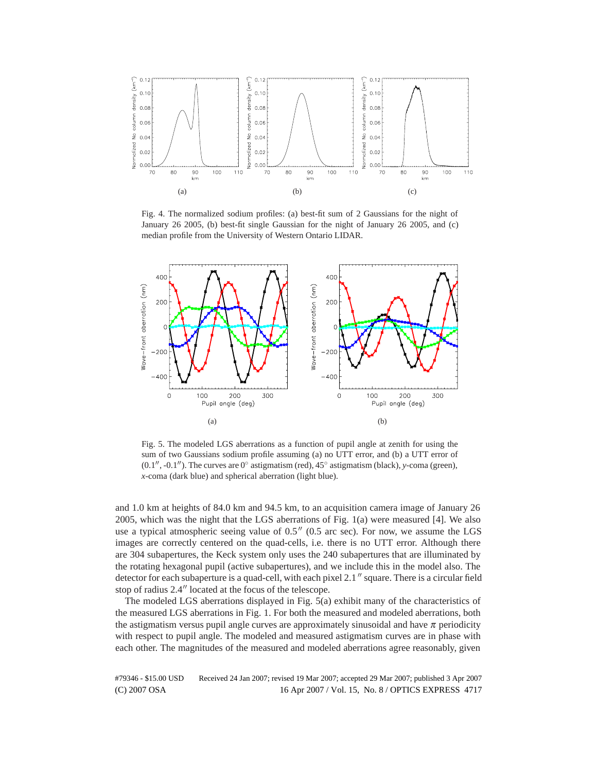

Fig. 4. The normalized sodium profiles: (a) best-fit sum of 2 Gaussians for the night of January 26 2005, (b) best-fit single Gaussian for the night of January 26 2005, and (c) median profile from the University of Western Ontario LIDAR.



Fig. 5. The modeled LGS aberrations as a function of pupil angle at zenith for using the sum of two Gaussians sodium profile assuming (a) no UTT error, and (b) a UTT error of  $(0.1'', -0.1'')$ . The curves are 0 $\degree$  astigmatism (red), 45 $\degree$  astigmatism (black), *y*-coma (green), *x*-coma (dark blue) and spherical aberration (light blue).

and 1.0 km at heights of 84.0 km and 94.5 km, to an acquisition camera image of January 26 2005, which was the night that the LGS aberrations of Fig. 1(a) were measured [4]. We also use a typical atmospheric seeing value of  $0.5''$  (0.5 arc sec). For now, we assume the LGS images are correctly centered on the quad-cells, i.e. there is no UTT error. Although there are 304 subapertures, the Keck system only uses the 240 subapertures that are illuminated by the rotating hexagonal pupil (active subapertures), and we include this in the model also. The detector for each subaperture is a quad-cell, with each pixel  $2.1$ " square. There is a circular field stop of radius 2.4" located at the focus of the telescope.

The modeled LGS aberrations displayed in Fig. 5(a) exhibit many of the characteristics of the measured LGS aberrations in Fig. 1. For both the measured and modeled aberrations, both the astigmatism versus pupil angle curves are approximately sinusoidal and have  $\pi$  periodicity with respect to pupil angle. The modeled and measured astigmatism curves are in phase with each other. The magnitudes of the measured and modeled aberrations agree reasonably, given

(C) 2007 OSA 16 Apr 2007 / Vol. 15, No. 8 / OPTICS EXPRESS 4717 #79346 - \$15.00 USD Received 24 Jan 2007; revised 19 Mar 2007; accepted 29 Mar 2007; published 3 Apr 2007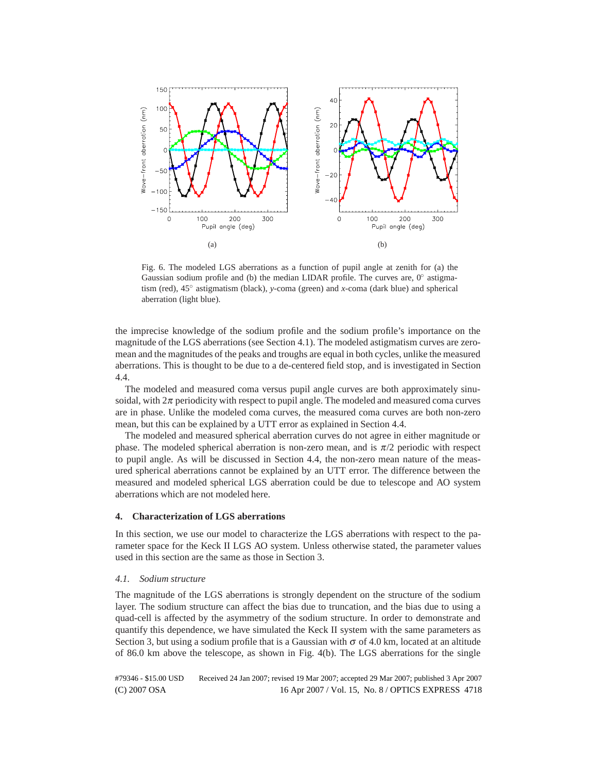

Fig. 6. The modeled LGS aberrations as a function of pupil angle at zenith for (a) the Gaussian sodium profile and (b) the median LIDAR profile. The curves are,  $0°$  astigmatism (red), 45◦ astigmatism (black), *y*-coma (green) and *x*-coma (dark blue) and spherical aberration (light blue).

the imprecise knowledge of the sodium profile and the sodium profile's importance on the magnitude of the LGS aberrations (see Section 4.1). The modeled astigmatism curves are zeromean and the magnitudes of the peaks and troughs are equal in both cycles, unlike the measured aberrations. This is thought to be due to a de-centered field stop, and is investigated in Section 4.4.

The modeled and measured coma versus pupil angle curves are both approximately sinusoidal, with  $2\pi$  periodicity with respect to pupil angle. The modeled and measured coma curves are in phase. Unlike the modeled coma curves, the measured coma curves are both non-zero mean, but this can be explained by a UTT error as explained in Section 4.4.

The modeled and measured spherical aberration curves do not agree in either magnitude or phase. The modeled spherical aberration is non-zero mean, and is  $\pi/2$  periodic with respect to pupil angle. As will be discussed in Section 4.4, the non-zero mean nature of the measured spherical aberrations cannot be explained by an UTT error. The difference between the measured and modeled spherical LGS aberration could be due to telescope and AO system aberrations which are not modeled here.

# **4. Characterization of LGS aberrations**

In this section, we use our model to characterize the LGS aberrations with respect to the parameter space for the Keck II LGS AO system. Unless otherwise stated, the parameter values used in this section are the same as those in Section 3.

#### *4.1. Sodium structure*

The magnitude of the LGS aberrations is strongly dependent on the structure of the sodium layer. The sodium structure can affect the bias due to truncation, and the bias due to using a quad-cell is affected by the asymmetry of the sodium structure. In order to demonstrate and quantify this dependence, we have simulated the Keck II system with the same parameters as Section 3, but using a sodium profile that is a Gaussian with  $\sigma$  of 4.0 km, located at an altitude of 86.0 km above the telescope, as shown in Fig. 4(b). The LGS aberrations for the single

(C) 2007 OSA 16 Apr 2007 / Vol. 15, No. 8 / OPTICS EXPRESS 4718 #79346 - \$15.00 USD Received 24 Jan 2007; revised 19 Mar 2007; accepted 29 Mar 2007; published 3 Apr 2007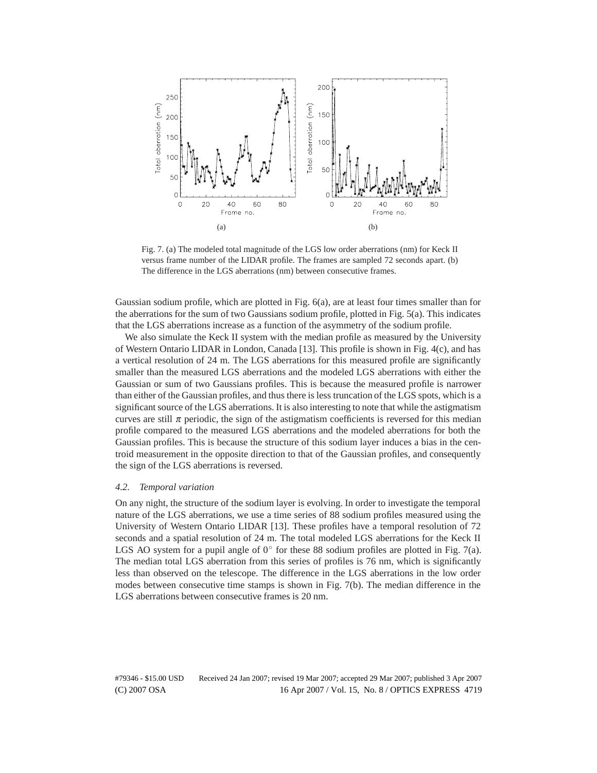

Fig. 7. (a) The modeled total magnitude of the LGS low order aberrations (nm) for Keck II versus frame number of the LIDAR profile. The frames are sampled 72 seconds apart. (b) The difference in the LGS aberrations (nm) between consecutive frames.

Gaussian sodium profile, which are plotted in Fig. 6(a), are at least four times smaller than for the aberrations for the sum of two Gaussians sodium profile, plotted in Fig. 5(a). This indicates that the LGS aberrations increase as a function of the asymmetry of the sodium profile.

We also simulate the Keck II system with the median profile as measured by the University of Western Ontario LIDAR in London, Canada [13]. This profile is shown in Fig. 4(c), and has a vertical resolution of 24 m. The LGS aberrations for this measured profile are significantly smaller than the measured LGS aberrations and the modeled LGS aberrations with either the Gaussian or sum of two Gaussians profiles. This is because the measured profile is narrower than either of the Gaussian profiles, and thus there is less truncation of the LGS spots, which is a significant source of the LGS aberrations. It is also interesting to note that while the astigmatism curves are still  $\pi$  periodic, the sign of the astigmatism coefficients is reversed for this median profile compared to the measured LGS aberrations and the modeled aberrations for both the Gaussian profiles. This is because the structure of this sodium layer induces a bias in the centroid measurement in the opposite direction to that of the Gaussian profiles, and consequently the sign of the LGS aberrations is reversed.

## *4.2. Temporal variation*

On any night, the structure of the sodium layer is evolving. In order to investigate the temporal nature of the LGS aberrations, we use a time series of 88 sodium profiles measured using the University of Western Ontario LIDAR [13]. These profiles have a temporal resolution of 72 seconds and a spatial resolution of 24 m. The total modeled LGS aberrations for the Keck II LGS AO system for a pupil angle of  $0^\circ$  for these 88 sodium profiles are plotted in Fig. 7(a). The median total LGS aberration from this series of profiles is 76 nm, which is significantly less than observed on the telescope. The difference in the LGS aberrations in the low order modes between consecutive time stamps is shown in Fig. 7(b). The median difference in the LGS aberrations between consecutive frames is 20 nm.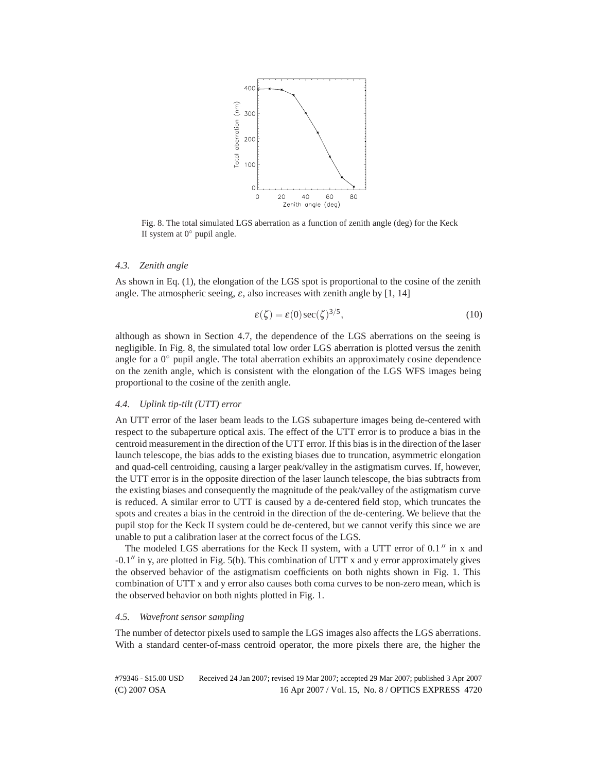

Fig. 8. The total simulated LGS aberration as a function of zenith angle (deg) for the Keck II system at  $0^\circ$  pupil angle.

#### *4.3. Zenith angle*

As shown in Eq. (1), the elongation of the LGS spot is proportional to the cosine of the zenith angle. The atmospheric seeing,  $\varepsilon$ , also increases with zenith angle by [1, 14]

$$
\varepsilon(\zeta) = \varepsilon(0)\sec(\zeta)^{3/5},\tag{10}
$$

although as shown in Section 4.7, the dependence of the LGS aberrations on the seeing is negligible. In Fig. 8, the simulated total low order LGS aberration is plotted versus the zenith angle for a  $0^\circ$  pupil angle. The total aberration exhibits an approximately cosine dependence on the zenith angle, which is consistent with the elongation of the LGS WFS images being proportional to the cosine of the zenith angle.

# *4.4. Uplink tip-tilt (UTT) error*

An UTT error of the laser beam leads to the LGS subaperture images being de-centered with respect to the subaperture optical axis. The effect of the UTT error is to produce a bias in the centroid measurement in the direction of the UTT error. If this bias is in the direction of the laser launch telescope, the bias adds to the existing biases due to truncation, asymmetric elongation and quad-cell centroiding, causing a larger peak/valley in the astigmatism curves. If, however, the UTT error is in the opposite direction of the laser launch telescope, the bias subtracts from the existing biases and consequently the magnitude of the peak/valley of the astigmatism curve is reduced. A similar error to UTT is caused by a de-centered field stop, which truncates the spots and creates a bias in the centroid in the direction of the de-centering. We believe that the pupil stop for the Keck II system could be de-centered, but we cannot verify this since we are unable to put a calibration laser at the correct focus of the LGS.

The modeled LGS aberrations for the Keck II system, with a UTT error of  $0.1$ <sup>"</sup> in x and  $-0.1$ <sup>n</sup> in y, are plotted in Fig. 5(b). This combination of UTT x and y error approximately gives the observed behavior of the astigmatism coefficients on both nights shown in Fig. 1. This combination of UTT x and y error also causes both coma curves to be non-zero mean, which is the observed behavior on both nights plotted in Fig. 1.

#### *4.5. Wavefront sensor sampling*

The number of detector pixels used to sample the LGS images also affects the LGS aberrations. With a standard center-of-mass centroid operator, the more pixels there are, the higher the

(C) 2007 OSA 16 Apr 2007 / Vol. 15, No. 8 / OPTICS EXPRESS 4720 #79346 - \$15.00 USD Received 24 Jan 2007; revised 19 Mar 2007; accepted 29 Mar 2007; published 3 Apr 2007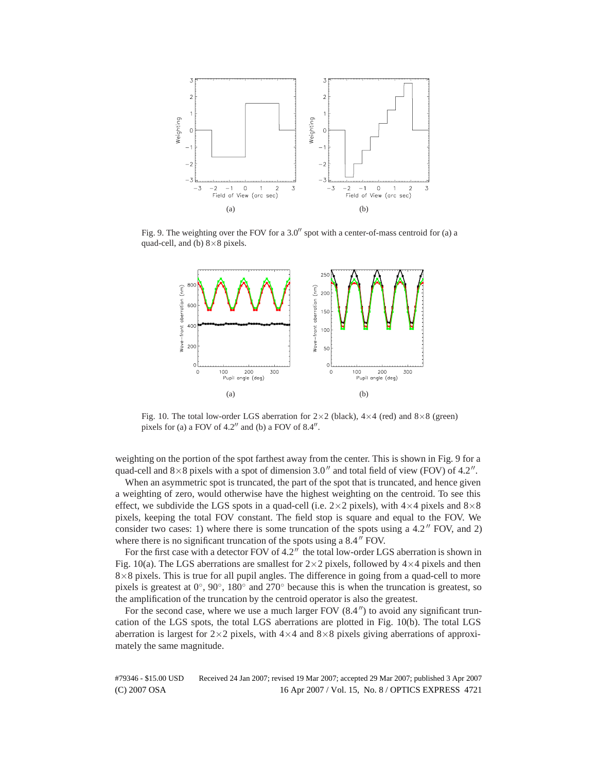

Fig. 9. The weighting over the FOV for a  $3.0''$  spot with a center-of-mass centroid for (a) a quad-cell, and (b)  $8\times 8$  pixels.



Fig. 10. The total low-order LGS aberration for  $2 \times 2$  (black),  $4 \times 4$  (red) and  $8 \times 8$  (green) pixels for (a) a FOV of  $4.2$ " and (b) a FOV of  $8.4$ ".

weighting on the portion of the spot farthest away from the center. This is shown in Fig. 9 for a quad-cell and  $8\times 8$  pixels with a spot of dimension 3.0" and total field of view (FOV) of 4.2".

When an asymmetric spot is truncated, the part of the spot that is truncated, and hence given a weighting of zero, would otherwise have the highest weighting on the centroid. To see this effect, we subdivide the LGS spots in a quad-cell (i.e.  $2 \times 2$  pixels), with  $4 \times 4$  pixels and  $8 \times 8$ pixels, keeping the total FOV constant. The field stop is square and equal to the FOV. We consider two cases: 1) where there is some truncation of the spots using a  $4.2$   $\degree$  FOV, and 2) where there is no significant truncation of the spots using a  $8.4$   $\degree$  FOV.

For the first case with a detector FOV of  $4.2''$  the total low-order LGS aberration is shown in Fig. 10(a). The LGS aberrations are smallest for  $2 \times 2$  pixels, followed by  $4 \times 4$  pixels and then  $8\times 8$  pixels. This is true for all pupil angles. The difference in going from a quad-cell to more pixels is greatest at  $0^{\circ}$ ,  $90^{\circ}$ ,  $180^{\circ}$  and  $270^{\circ}$  because this is when the truncation is greatest, so the amplification of the truncation by the centroid operator is also the greatest.

For the second case, where we use a much larger FOV  $(8.4'')$  to avoid any significant truncation of the LGS spots, the total LGS aberrations are plotted in Fig. 10(b). The total LGS aberration is largest for  $2\times2$  pixels, with  $4\times4$  and  $8\times8$  pixels giving aberrations of approximately the same magnitude.

(C) 2007 OSA 16 Apr 2007 / Vol. 15, No. 8 / OPTICS EXPRESS 4721 #79346 - \$15.00 USD Received 24 Jan 2007; revised 19 Mar 2007; accepted 29 Mar 2007; published 3 Apr 2007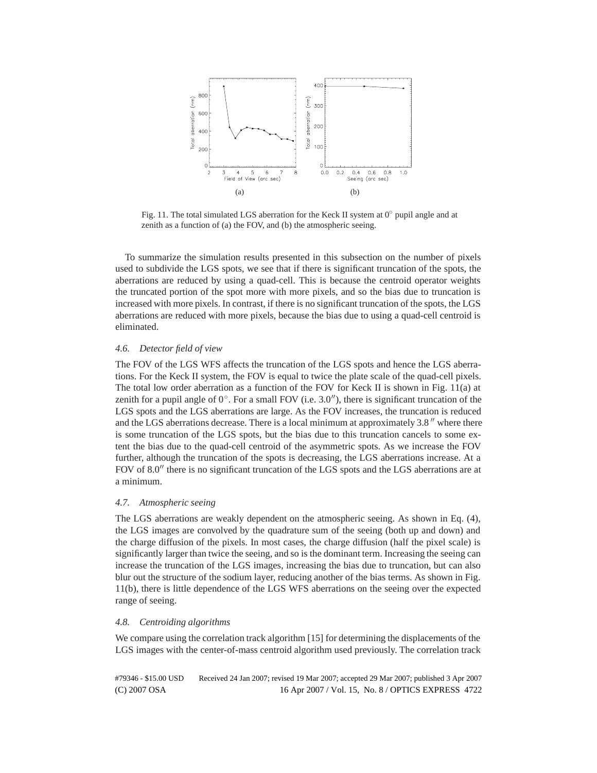

Fig. 11. The total simulated LGS aberration for the Keck II system at 0◦ pupil angle and at zenith as a function of (a) the FOV, and (b) the atmospheric seeing.

To summarize the simulation results presented in this subsection on the number of pixels used to subdivide the LGS spots, we see that if there is significant truncation of the spots, the aberrations are reduced by using a quad-cell. This is because the centroid operator weights the truncated portion of the spot more with more pixels, and so the bias due to truncation is increased with more pixels. In contrast, if there is no significant truncation of the spots, the LGS aberrations are reduced with more pixels, because the bias due to using a quad-cell centroid is eliminated.

# *4.6. Detector field of view*

The FOV of the LGS WFS affects the truncation of the LGS spots and hence the LGS aberrations. For the Keck II system, the FOV is equal to twice the plate scale of the quad-cell pixels. The total low order aberration as a function of the FOV for Keck II is shown in Fig. 11(a) at zenith for a pupil angle of  $0°$ . For a small FOV (i.e. 3.0''), there is significant truncation of the LGS spots and the LGS aberrations are large. As the FOV increases, the truncation is reduced and the LGS aberrations decrease. There is a local minimum at approximately  $3.8$ " where there is some truncation of the LGS spots, but the bias due to this truncation cancels to some extent the bias due to the quad-cell centroid of the asymmetric spots. As we increase the FOV further, although the truncation of the spots is decreasing, the LGS aberrations increase. At a FOV of  $8.0$ " there is no significant truncation of the LGS spots and the LGS aberrations are at a minimum.

# *4.7. Atmospheric seeing*

The LGS aberrations are weakly dependent on the atmospheric seeing. As shown in Eq. (4), the LGS images are convolved by the quadrature sum of the seeing (both up and down) and the charge diffusion of the pixels. In most cases, the charge diffusion (half the pixel scale) is significantly larger than twice the seeing, and so is the dominant term. Increasing the seeing can increase the truncation of the LGS images, increasing the bias due to truncation, but can also blur out the structure of the sodium layer, reducing another of the bias terms. As shown in Fig. 11(b), there is little dependence of the LGS WFS aberrations on the seeing over the expected range of seeing.

# *4.8. Centroiding algorithms*

We compare using the correlation track algorithm [15] for determining the displacements of the LGS images with the center-of-mass centroid algorithm used previously. The correlation track

(C) 2007 OSA 16 Apr 2007 / Vol. 15, No. 8 / OPTICS EXPRESS 4722 #79346 - \$15.00 USD Received 24 Jan 2007; revised 19 Mar 2007; accepted 29 Mar 2007; published 3 Apr 2007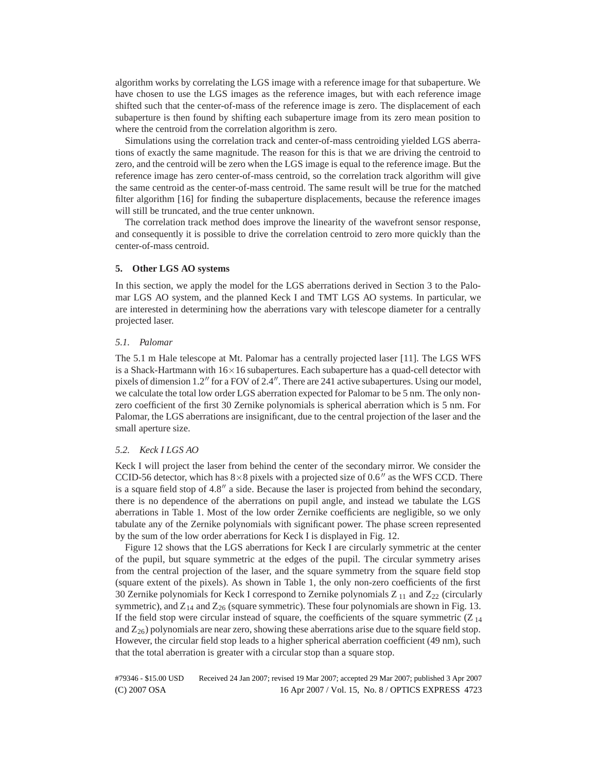algorithm works by correlating the LGS image with a reference image for that subaperture. We have chosen to use the LGS images as the reference images, but with each reference image shifted such that the center-of-mass of the reference image is zero. The displacement of each subaperture is then found by shifting each subaperture image from its zero mean position to where the centroid from the correlation algorithm is zero.

Simulations using the correlation track and center-of-mass centroiding yielded LGS aberrations of exactly the same magnitude. The reason for this is that we are driving the centroid to zero, and the centroid will be zero when the LGS image is equal to the reference image. But the reference image has zero center-of-mass centroid, so the correlation track algorithm will give the same centroid as the center-of-mass centroid. The same result will be true for the matched filter algorithm [16] for finding the subaperture displacements, because the reference images will still be truncated, and the true center unknown.

The correlation track method does improve the linearity of the wavefront sensor response, and consequently it is possible to drive the correlation centroid to zero more quickly than the center-of-mass centroid.

# **5. Other LGS AO systems**

In this section, we apply the model for the LGS aberrations derived in Section 3 to the Palomar LGS AO system, and the planned Keck I and TMT LGS AO systems. In particular, we are interested in determining how the aberrations vary with telescope diameter for a centrally projected laser.

## *5.1. Palomar*

The 5.1 m Hale telescope at Mt. Palomar has a centrally projected laser [11]. The LGS WFS is a Shack-Hartmann with  $16\times16$  subapertures. Each subaperture has a quad-cell detector with pixels of dimension  $1.2$ <sup>"</sup> for a FOV of  $2.4$ ". There are 241 active subapertures. Using our model, we calculate the total low order LGS aberration expected for Palomar to be 5 nm. The only nonzero coefficient of the first 30 Zernike polynomials is spherical aberration which is 5 nm. For Palomar, the LGS aberrations are insignificant, due to the central projection of the laser and the small aperture size.

#### *5.2. Keck I LGS AO*

Keck I will project the laser from behind the center of the secondary mirror. We consider the CCID-56 detector, which has  $8\times 8$  pixels with a projected size of 0.6" as the WFS CCD. There is a square field stop of  $4.8''$  a side. Because the laser is projected from behind the secondary, there is no dependence of the aberrations on pupil angle, and instead we tabulate the LGS aberrations in Table 1. Most of the low order Zernike coefficients are negligible, so we only tabulate any of the Zernike polynomials with significant power. The phase screen represented by the sum of the low order aberrations for Keck I is displayed in Fig. 12.

Figure 12 shows that the LGS aberrations for Keck I are circularly symmetric at the center of the pupil, but square symmetric at the edges of the pupil. The circular symmetry arises from the central projection of the laser, and the square symmetry from the square field stop (square extent of the pixels). As shown in Table 1, the only non-zero coefficients of the first 30 Zernike polynomials for Keck I correspond to Zernike polynomials  $Z_{11}$  and  $Z_{22}$  (circularly symmetric), and  $Z_{14}$  and  $Z_{26}$  (square symmetric). These four polynomials are shown in Fig. 13. If the field stop were circular instead of square, the coefficients of the square symmetric  $(Z_{14})$ and  $Z_{26}$ ) polynomials are near zero, showing these aberrations arise due to the square field stop. However, the circular field stop leads to a higher spherical aberration coefficient (49 nm), such that the total aberration is greater with a circular stop than a square stop.

(C) 2007 OSA 16 Apr 2007 / Vol. 15, No. 8 / OPTICS EXPRESS 4723 #79346 - \$15.00 USD Received 24 Jan 2007; revised 19 Mar 2007; accepted 29 Mar 2007; published 3 Apr 2007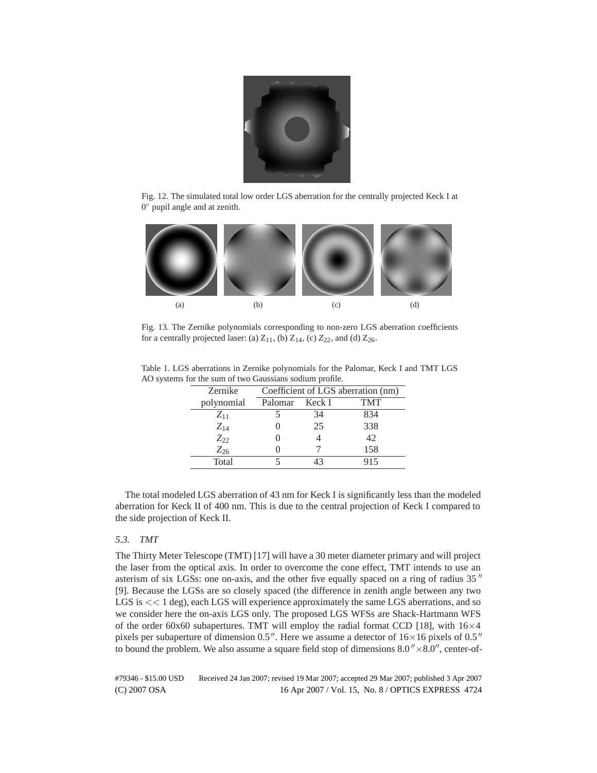

Fig. 12. The simulated total low order LGS aberration for the centrally projected Keck I at 0◦ pupil angle and at zenith.



Fig. 13. The Zernike polynomials corresponding to non-zero LGS aberration coefficients for a centrally projected laser: (a)  $Z_{11}$ , (b)  $Z_{14}$ , (c)  $Z_{22}$ , and (d)  $Z_{26}$ .

| Table 1. LGS aberrations in Zernike polynomials for the Palomar, Keck I and TMT LGS |
|-------------------------------------------------------------------------------------|
| AO systems for the sum of two Gaussians sodium profile.                             |

| Zernike    |         |        | Coefficient of LGS aberration (nm) |
|------------|---------|--------|------------------------------------|
| polynomial | Palomar | Keck I | TMT                                |
| $Z_{11}$   |         | 34     | 834                                |
| $Z_{14}$   |         | 25     | 338                                |
| $Z_{22}$   |         |        | 42                                 |
| $Z_{26}$   |         |        | 158                                |
| Total      |         |        | 915                                |

The total modeled LGS aberration of 43 nm for Keck I is significantly less than the modeled aberration for Keck II of 400 nm. This is due to the central projection of Keck I compared to the side projection of Keck II.

# *5.3. TMT*

The Thirty Meter Telescope (TMT) [17] will have a 30 meter diameter primary and will project the laser from the optical axis. In order to overcome the cone effect, TMT intends to use an asterism of six LGSs: one on-axis, and the other five equally spaced on a ring of radius 35" [9]. Because the LGSs are so closely spaced (the difference in zenith angle between any two LGS is  $<< 1$  deg), each LGS will experience approximately the same LGS aberrations, and so we consider here the on-axis LGS only. The proposed LGS WFSs are Shack-Hartmann WFS of the order 60x60 subapertures. TMT will employ the radial format CCD [18], with  $16\times4$ pixels per subaperture of dimension 0.5". Here we assume a detector of  $16\times16$  pixels of 0.5" to bound the problem. We also assume a square field stop of dimensions  $8.0'' \times 8.0''$ , center-of-

(C) 2007 OSA 16 Apr 2007 / Vol. 15, No. 8 / OPTICS EXPRESS 4724 #79346 - \$15.00 USD Received 24 Jan 2007; revised 19 Mar 2007; accepted 29 Mar 2007; published 3 Apr 2007